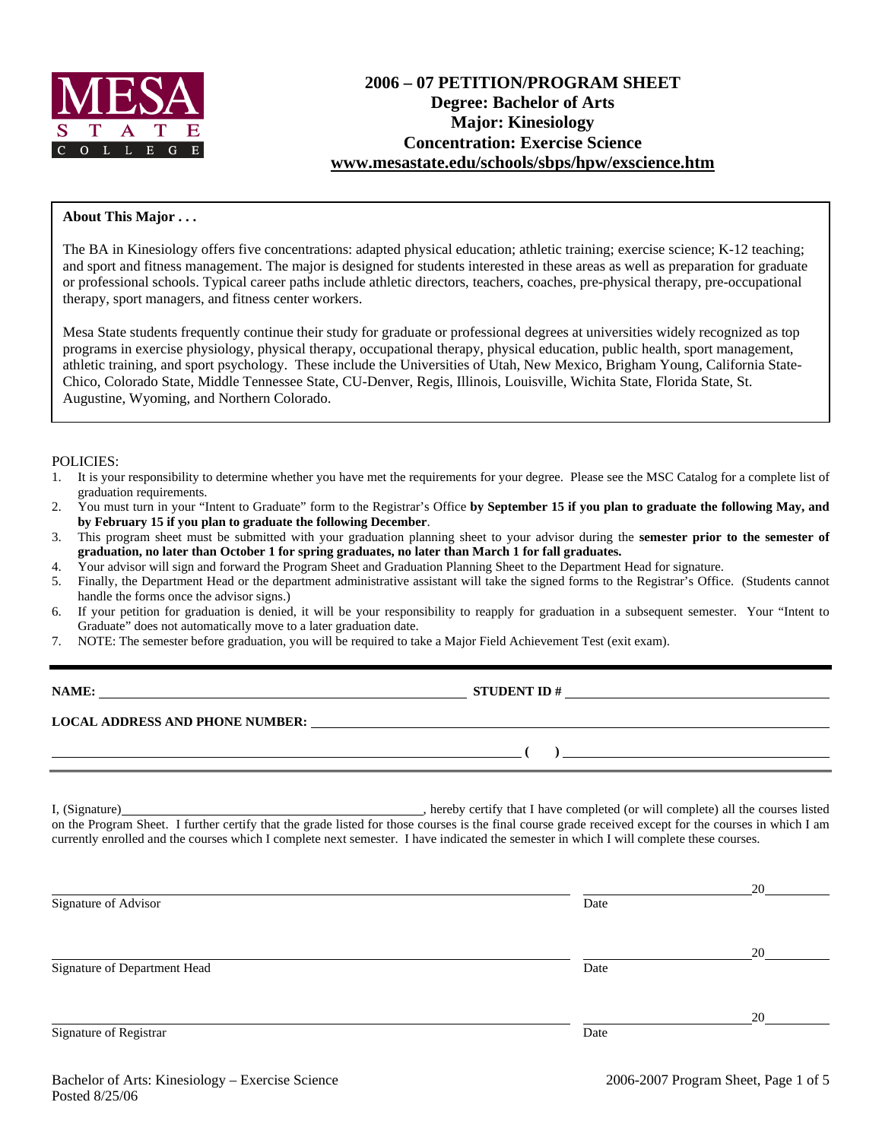

#### **About This Major . . .**

The BA in Kinesiology offers five concentrations: adapted physical education; athletic training; exercise science; K-12 teaching; and sport and fitness management. The major is designed for students interested in these areas as well as preparation for graduate or professional schools. Typical career paths include athletic directors, teachers, coaches, pre-physical therapy, pre-occupational therapy, sport managers, and fitness center workers.

Mesa State students frequently continue their study for graduate or professional degrees at universities widely recognized as top programs in exercise physiology, physical therapy, occupational therapy, physical education, public health, sport management, athletic training, and sport psychology. These include the Universities of Utah, New Mexico, Brigham Young, California State-Chico, Colorado State, Middle Tennessee State, CU-Denver, Regis, Illinois, Louisville, Wichita State, Florida State, St. Augustine, Wyoming, and Northern Colorado.

#### POLICIES:

- 1. It is your responsibility to determine whether you have met the requirements for your degree. Please see the MSC Catalog for a complete list of graduation requirements.
- 2. You must turn in your "Intent to Graduate" form to the Registrar's Office **by September 15 if you plan to graduate the following May, and by February 15 if you plan to graduate the following December**.
- 3. This program sheet must be submitted with your graduation planning sheet to your advisor during the **semester prior to the semester of graduation, no later than October 1 for spring graduates, no later than March 1 for fall graduates.**
- 4. Your advisor will sign and forward the Program Sheet and Graduation Planning Sheet to the Department Head for signature.
- 5. Finally, the Department Head or the department administrative assistant will take the signed forms to the Registrar's Office. (Students cannot handle the forms once the advisor signs.)
- 6. If your petition for graduation is denied, it will be your responsibility to reapply for graduation in a subsequent semester. Your "Intent to Graduate" does not automatically move to a later graduation date.
- 7. NOTE: The semester before graduation, you will be required to take a Major Field Achievement Test (exit exam).

| NAME:                                  | <b>STUDENT ID#</b> |  |
|----------------------------------------|--------------------|--|
| <b>LOCAL ADDRESS AND PHONE NUMBER:</b> |                    |  |
|                                        |                    |  |

I, (Signature) , hereby certify that I have completed (or will complete) all the courses listed on the Program Sheet. I further certify that the grade listed for those courses is the final course grade received except for the courses in which I am currently enrolled and the courses which I complete next semester. I have indicated the semester in which I will complete these courses.

|                              |      | 20 |
|------------------------------|------|----|
| Signature of Advisor         | Date |    |
|                              |      |    |
|                              |      | 20 |
| Signature of Department Head | Date |    |
|                              |      |    |
|                              |      | 20 |
| Signature of Registrar       | Date |    |
|                              |      |    |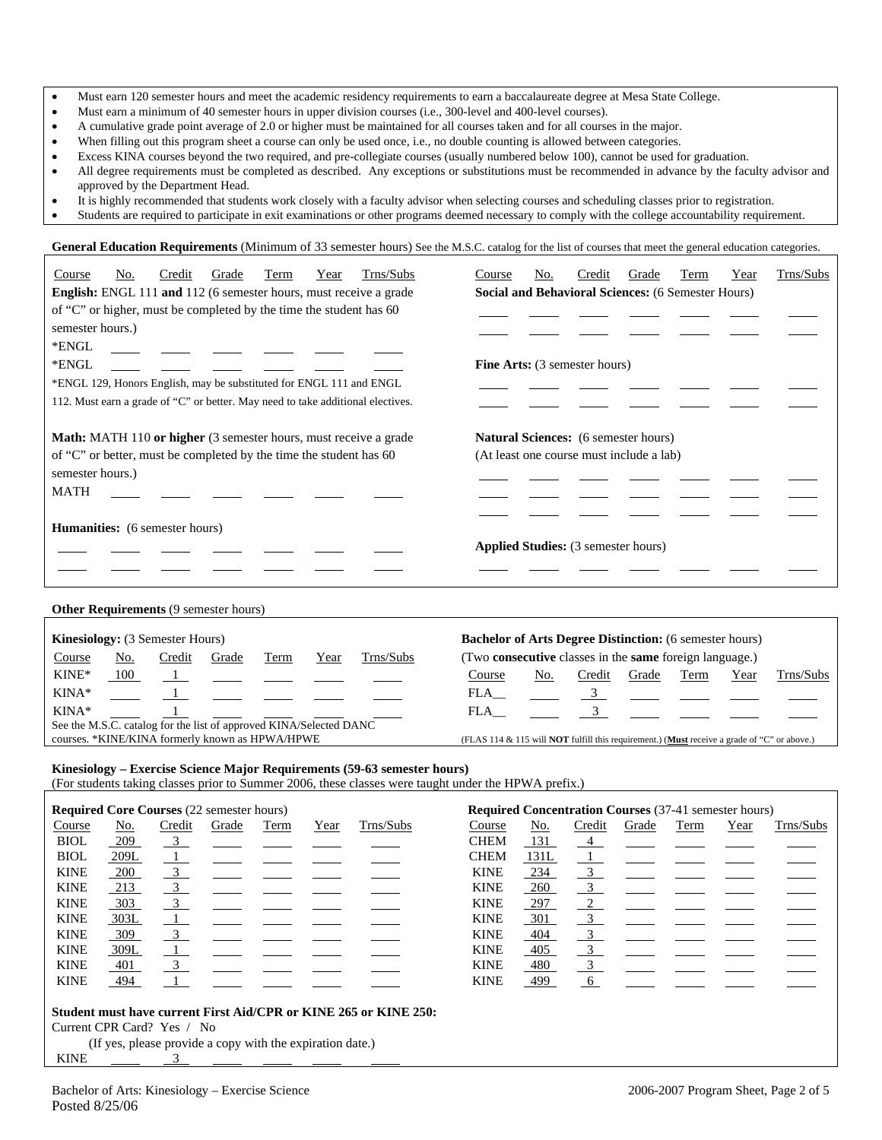|  | Must earn 120 semester hours and meet the academic residency requirements to earn a baccalaureate degree at Mesa State College. |  |  |  |  |
|--|---------------------------------------------------------------------------------------------------------------------------------|--|--|--|--|
|--|---------------------------------------------------------------------------------------------------------------------------------|--|--|--|--|

- Must earn a minimum of 40 semester hours in upper division courses (i.e., 300-level and 400-level courses).
- A cumulative grade point average of 2.0 or higher must be maintained for all courses taken and for all courses in the major.
- When filling out this program sheet a course can only be used once, i.e., no double counting is allowed between categories.
	- Excess KINA courses beyond the two required, and pre-collegiate courses (usually numbered below 100), cannot be used for graduation.
- All degree requirements must be completed as described. Any exceptions or substitutions must be recommended in advance by the faculty advisor and approved by the Department Head.
- It is highly recommended that students work closely with a faculty advisor when selecting courses and scheduling classes prior to registration.
- Students are required to participate in exit examinations or other programs deemed necessary to comply with the college accountability requirement.

General Education Requirements (Minimum of 33 semester hours) See the M.S.C. catalog for the list of courses that meet the general education categories.

| Trns/Subs<br>Credit<br>Term<br>No.<br>Grade<br>Year<br>Course                                                                                                                   | Trns/Subs<br>Credit<br>No.<br>Grade<br>Term<br>Year<br>Course                                              |
|---------------------------------------------------------------------------------------------------------------------------------------------------------------------------------|------------------------------------------------------------------------------------------------------------|
| <b>English:</b> ENGL 111 and 112 (6 semester hours, must receive a grade                                                                                                        | Social and Behavioral Sciences: (6 Semester Hours)                                                         |
| of "C" or higher, must be completed by the time the student has 60                                                                                                              |                                                                                                            |
| semester hours.)                                                                                                                                                                |                                                                                                            |
| *ENGL                                                                                                                                                                           |                                                                                                            |
| *ENGL                                                                                                                                                                           | <b>Fine Arts:</b> (3 semester hours)                                                                       |
| *ENGL 129, Honors English, may be substituted for ENGL 111 and ENGL                                                                                                             |                                                                                                            |
| 112. Must earn a grade of "C" or better. May need to take additional electives.                                                                                                 |                                                                                                            |
| <b>Math:</b> MATH 110 or higher (3 semester hours, must receive a grade                                                                                                         | <b>Natural Sciences:</b> (6 semester hours)                                                                |
| of "C" or better, must be completed by the time the student has 60                                                                                                              | (At least one course must include a lab)                                                                   |
| semester hours.)                                                                                                                                                                |                                                                                                            |
| <b>MATH</b>                                                                                                                                                                     |                                                                                                            |
|                                                                                                                                                                                 |                                                                                                            |
| <b>Humanities:</b> (6 semester hours)                                                                                                                                           |                                                                                                            |
|                                                                                                                                                                                 | <b>Applied Studies:</b> (3 semester hours)                                                                 |
|                                                                                                                                                                                 |                                                                                                            |
|                                                                                                                                                                                 |                                                                                                            |
| Other Requirements (9 semester hours)                                                                                                                                           |                                                                                                            |
| Kinesiology: (3 Semester Hours)                                                                                                                                                 | <b>Bachelor of Arts Degree Distinction:</b> (6 semester hours)                                             |
| Trns/Subs<br>Credit<br>Course<br>No.<br>Grade<br>Year<br>Term                                                                                                                   | (Two consecutive classes in the same foreign language.)                                                    |
| $KINE*$<br>100<br>$\frac{1}{2}$                                                                                                                                                 | Credit<br>Grade<br>Trns/Subs<br>No.<br>Term<br>Year<br>Course                                              |
| $KINA*$                                                                                                                                                                         | FLA<br>$\frac{3}{2}$                                                                                       |
| KINA*                                                                                                                                                                           | $\mathfrak{Z}$<br>FLA                                                                                      |
| See the M.S.C. catalog for the list of approved KINA/Selected DANC                                                                                                              |                                                                                                            |
| courses. *KINE/KINA formerly known as HPWA/HPWE                                                                                                                                 | (FLAS 114 & 115 will <b>NOT</b> fulfill this requirement.) ( <b>Must</b> receive a grade of "C" or above.) |
| Kinesiology - Exercise Science Major Requirements (59-63 semester hours)<br>(For students taking classes prior to Summer 2006, these classes were taught under the HPWA prefix) |                                                                                                            |

(For students taking classes prior to Summer 2006, these classes were taught under the HPWA prefix.)

| <b>Required Core Courses (22 semester hours)</b> |                                                                  |                           |       |      | <b>Required Concentration Courses</b> (37-41 semester hours) |           |             |      |                         |       |      |      |           |
|--------------------------------------------------|------------------------------------------------------------------|---------------------------|-------|------|--------------------------------------------------------------|-----------|-------------|------|-------------------------|-------|------|------|-----------|
| Course                                           | No.                                                              | Credit                    | Grade | Term | Year                                                         | Trns/Subs | Course      | No.  | Credit                  | Grade | Term | Year | Trns/Subs |
| <b>BIOL</b>                                      | 209                                                              | $\overline{\phantom{a}3}$ |       |      |                                                              |           | <b>CHEM</b> | 131  | 4                       |       |      |      |           |
| <b>BIOL</b>                                      | 209L                                                             | $\perp$                   |       |      |                                                              |           | <b>CHEM</b> | 131L | $\perp$                 |       |      |      |           |
| <b>KINE</b>                                      | 200                                                              | $\overline{3}$            |       |      |                                                              |           | <b>KINE</b> | 234  | $\overline{3}$          |       |      |      |           |
| <b>KINE</b>                                      | 213                                                              | $\overline{3}$            |       |      |                                                              |           | <b>KINE</b> | 260  | $\frac{3}{2}$           |       |      |      |           |
| <b>KINE</b>                                      | 303                                                              | $\overline{3}$            |       |      |                                                              |           | <b>KINE</b> | 297  | $\overline{2}$          |       |      |      |           |
| <b>KINE</b>                                      | 303L                                                             | $\perp$                   |       |      |                                                              |           | <b>KINE</b> | 301  | $\overline{\mathbf{3}}$ |       |      |      |           |
| <b>KINE</b>                                      | 309                                                              | $\overline{\phantom{0}3}$ |       |      |                                                              |           | <b>KINE</b> | 404  | $\overline{\mathbf{3}}$ |       |      |      |           |
| <b>KINE</b>                                      | 309L                                                             | $\perp$                   |       |      |                                                              |           | <b>KINE</b> | 405  | $\frac{3}{2}$           |       |      |      |           |
| <b>KINE</b>                                      | 401                                                              | $\overline{\mathbf{3}}$   |       |      |                                                              |           | <b>KINE</b> | 480  | $\overline{3}$          |       |      |      |           |
| <b>KINE</b>                                      | 494                                                              |                           |       |      |                                                              |           | <b>KINE</b> | 499  | 6                       |       |      |      |           |
|                                                  | Student must have current First Aid/CPR or KINE 265 or KINE 250: |                           |       |      |                                                              |           |             |      |                         |       |      |      |           |
|                                                  | Current CPR Card? Yes / No                                       |                           |       |      |                                                              |           |             |      |                         |       |      |      |           |
|                                                  | (If yes, please provide a copy with the expiration date.)        |                           |       |      |                                                              |           |             |      |                         |       |      |      |           |
| <b>KINE</b>                                      |                                                                  |                           |       |      |                                                              |           |             |      |                         |       |      |      |           |

 $\Gamma$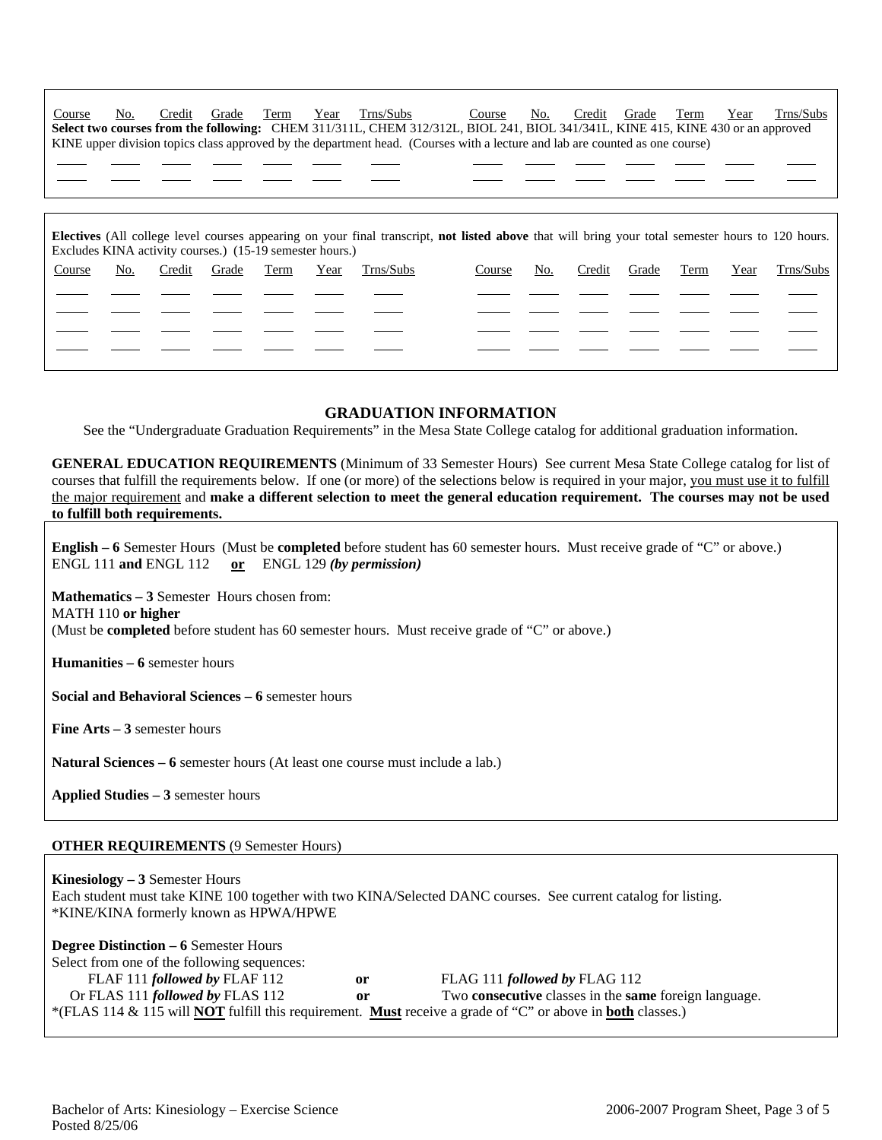|  |  |  | Course No. Credit Grade Term Year Trns/Subs                                                                                     |  |  |  | Course No. Credit Grade Term Year Trns/Subs |
|--|--|--|---------------------------------------------------------------------------------------------------------------------------------|--|--|--|---------------------------------------------|
|  |  |  | Select two courses from the following: CHEM 311/311L, CHEM 312/312L, BIOL 241, BIOL 341/341L, KINE 415, KINE 430 or an approved |  |  |  |                                             |
|  |  |  | KINE upper division topics class approved by the department head. (Courses with a lecture and lab are counted as one course)    |  |  |  |                                             |

**Electives** (All college level courses appearing on your final transcript, **not listed above** that will bring your total semester hours to 120 hours. Excludes KINA activity courses.) (15-19 semester hours.) Course No. Credit Grade Term Year Trns/Subs Course No. Credit Grade Term Year Trns/Subs ֦

#### **GRADUATION INFORMATION**

See the "Undergraduate Graduation Requirements" in the Mesa State College catalog for additional graduation information.

**GENERAL EDUCATION REQUIREMENTS** (Minimum of 33 Semester Hours) See current Mesa State College catalog for list of courses that fulfill the requirements below. If one (or more) of the selections below is required in your major, you must use it to fulfill the major requirement and **make a different selection to meet the general education requirement. The courses may not be used to fulfill both requirements.**

**English – 6** Semester Hours (Must be **completed** before student has 60 semester hours. Must receive grade of "C" or above.)

| <b>English – 0</b> Semester Hours (Wust be completed before student has no semester hours. Must receive grade of C or above.)<br>ENGL 111 and ENGL 112 or ENGL 129 (by permission) |  |  |  |  |  |
|------------------------------------------------------------------------------------------------------------------------------------------------------------------------------------|--|--|--|--|--|
| <b>Mathematics – 3 Semester Hours chosen from:</b><br>MATH 110 or higher<br>(Must be <b>completed</b> before student has 60 semester hours. Must receive grade of "C" or above.)   |  |  |  |  |  |
| <b>Humanities <math>-6</math> semester hours</b>                                                                                                                                   |  |  |  |  |  |
| Social and Behavioral Sciences – 6 semester hours                                                                                                                                  |  |  |  |  |  |
| <b>Fine Arts – 3</b> semester hours                                                                                                                                                |  |  |  |  |  |
| <b>Natural Sciences – 6</b> semester hours (At least one course must include a lab.)                                                                                               |  |  |  |  |  |
| Applied Studies – 3 semester hours                                                                                                                                                 |  |  |  |  |  |
|                                                                                                                                                                                    |  |  |  |  |  |

#### **OTHER REQUIREMENTS** (9 Semester Hours)

֦ ֦

 $\overline{a}$ ֦ ֦

**Kinesiology – 3** Semester Hours Each student must take KINE 100 together with two KINA/Selected DANC courses. See current catalog for listing. \*KINE/KINA formerly known as HPWA/HPWE **Degree Distinction – 6** Semester Hours

| $\mu_{\text{S}}$ Degree Distriction – $\sigma$ Schlester Hours |    |                                                                                                                                 |
|----------------------------------------------------------------|----|---------------------------------------------------------------------------------------------------------------------------------|
| Select from one of the following sequences:                    |    |                                                                                                                                 |
| FLAF 111 followed by FLAF 112                                  | or | FLAG 111 followed by FLAG 112                                                                                                   |
| Or FLAS 111 <i>followed by</i> FLAS 112                        | or | Two <b>consecutive</b> classes in the <b>same</b> foreign language.                                                             |
|                                                                |    | *(FLAS 114 & 115 will <b>NOT</b> fulfill this requirement. <b>Must</b> receive a grade of "C" or above in <b>both</b> classes.) |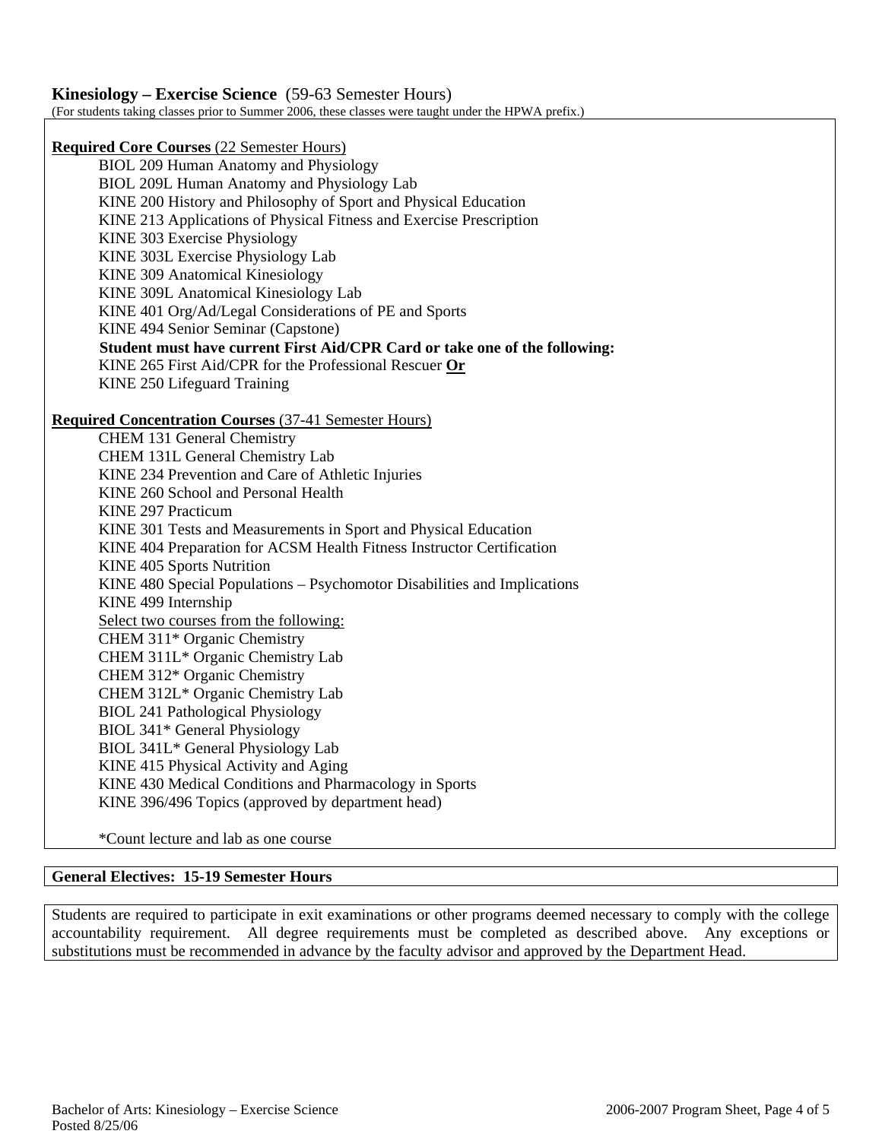# **Kinesiology – Exercise Science** (59-63 Semester Hours)

(For students taking classes prior to Summer 2006, these classes were taught under the HPWA prefix.)

**Required Core Courses** (22 Semester Hours)

BIOL 209 Human Anatomy and Physiology BIOL 209L Human Anatomy and Physiology Lab KINE 200 History and Philosophy of Sport and Physical Education KINE 213 Applications of Physical Fitness and Exercise Prescription KINE 303 Exercise Physiology KINE 303L Exercise Physiology Lab KINE 309 Anatomical Kinesiology KINE 309L Anatomical Kinesiology Lab KINE 401 Org/Ad/Legal Considerations of PE and Sports KINE 494 Senior Seminar (Capstone) **Student must have current First Aid/CPR Card or take one of the following:**  KINE 265 First Aid/CPR for the Professional Rescuer **Or** KINE 250 Lifeguard Training

### **Required Concentration Courses** (37-41 Semester Hours)

CHEM 131 General Chemistry CHEM 131L General Chemistry Lab KINE 234 Prevention and Care of Athletic Injuries KINE 260 School and Personal Health KINE 297 Practicum KINE 301 Tests and Measurements in Sport and Physical Education KINE 404 Preparation for ACSM Health Fitness Instructor Certification KINE 405 Sports Nutrition KINE 480 Special Populations – Psychomotor Disabilities and Implications KINE 499 Internship Select two courses from the following: CHEM 311\* Organic Chemistry CHEM 311L\* Organic Chemistry Lab CHEM 312\* Organic Chemistry CHEM 312L\* Organic Chemistry Lab BIOL 241 Pathological Physiology BIOL 341\* General Physiology BIOL 341L\* General Physiology Lab KINE 415 Physical Activity and Aging KINE 430 Medical Conditions and Pharmacology in Sports KINE 396/496 Topics (approved by department head)

\*Count lecture and lab as one course

### **General Electives: 15-19 Semester Hours**

Students are required to participate in exit examinations or other programs deemed necessary to comply with the college accountability requirement. All degree requirements must be completed as described above. Any exceptions or substitutions must be recommended in advance by the faculty advisor and approved by the Department Head.